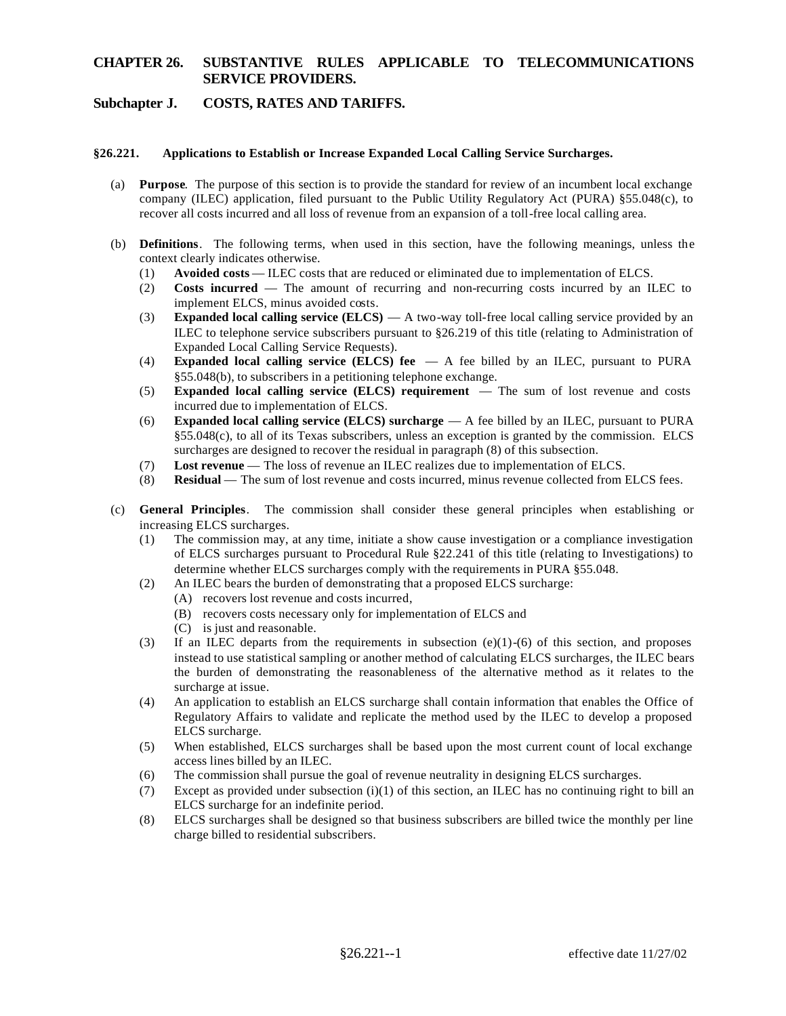# **Subchapter J. COSTS, RATES AND TARIFFS.**

#### §26.221. **§26.221. Applications to Establish or Increase Expanded Local Calling Service Surcharges.**

- (a) **Purpose**. The purpose of this section is to provide the standard for review of an incumbent local exchange company (ILEC) application, filed pursuant to the Public Utility Regulatory Act (PURA) §55.048(c), to recover all costs incurred and all loss of revenue from an expansion of a toll-free local calling area.
- (b) **Definitions**. The following terms, when used in this section, have the following meanings, unless the context clearly indicates otherwise.
	- (1) **Avoided costs**  ILEC costs that are reduced or eliminated due to implementation of ELCS.
	- (2) **Costs incurred**  The amount of recurring and non-recurring costs incurred by an ILEC to implement ELCS, minus avoided costs.
	- (3) **Expanded local calling service (ELCS)**  A two-way toll-free local calling service provided by an ILEC to telephone service subscribers pursuant to §26.219 of this title (relating to Administration of Expanded Local Calling Service Requests).
	- (4) **Expanded local calling service (ELCS) fee**  A fee billed by an ILEC, pursuant to PURA §55.048(b), to subscribers in a petitioning telephone exchange.
	- (5) **Expanded local calling service (ELCS) requirement**  The sum of lost revenue and costs incurred due to implementation of ELCS.
	- (6) **Expanded local calling service (ELCS) surcharge**  A fee billed by an ILEC, pursuant to PURA §55.048(c), to all of its Texas subscribers, unless an exception is granted by the commission. ELCS surcharges are designed to recover the residual in paragraph (8) of this subsection.
	- (7) **Lost revenue**  The loss of revenue an ILEC realizes due to implementation of ELCS.
	- (8) **Residual**  The sum of lost revenue and costs incurred, minus revenue collected from ELCS fees.
- (c) **General Principles**. The commission shall consider these general principles when establishing or increasing ELCS surcharges.
	- (1) The commission may, at any time, initiate a show cause investigation or a compliance investigation of ELCS surcharges pursuant to Procedural Rule §22.241 of this title (relating to Investigations) to determine whether ELCS surcharges comply with the requirements in PURA §55.048.
	- (2) An ILEC bears the burden of demonstrating that a proposed ELCS surcharge:
		- (A) recovers lost revenue and costs incurred,
		- (B) recovers costs necessary only for implementation of ELCS and
		- (C) is just and reasonable.
	- (3) If an ILEC departs from the requirements in subsection (e)(1)-(6) of this section, and proposes instead to use statistical sampling or another method of calculating ELCS surcharges, the ILEC bears the burden of demonstrating the reasonableness of the alternative method as it relates to the surcharge at issue.
	- (4) An application to establish an ELCS surcharge shall contain information that enables the Office of Regulatory Affairs to validate and replicate the method used by the ILEC to develop a proposed ELCS surcharge.
	- (5) When established, ELCS surcharges shall be based upon the most current count of local exchange access lines billed by an ILEC.
	- (6) The commission shall pursue the goal of revenue neutrality in designing ELCS surcharges.
	- (7) Except as provided under subsection (i)(1) of this section, an ILEC has no continuing right to bill an ELCS surcharge for an indefinite period.
	- (8) ELCS surcharges shall be designed so that business subscribers are billed twice the monthly per line charge billed to residential subscribers.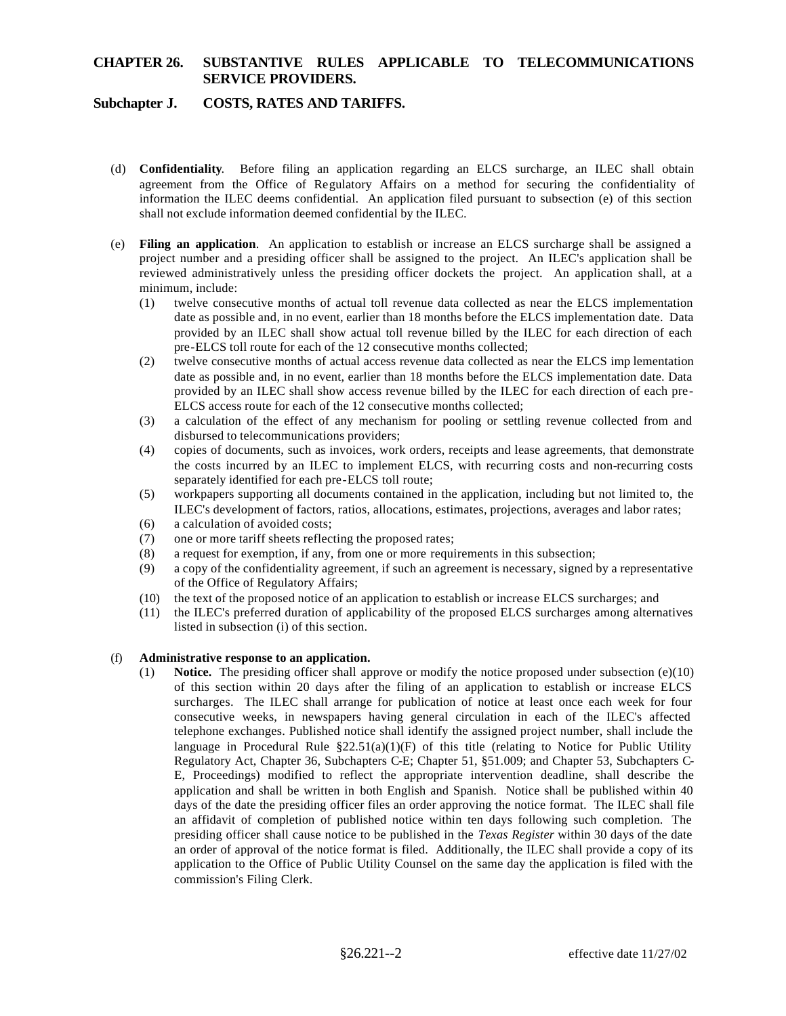# **Subchapter J. COSTS, RATES AND TARIFFS.**

- (d) **Confidentiality**. Before filing an application regarding an ELCS surcharge, an ILEC shall obtain agreement from the Office of Regulatory Affairs on a method for securing the confidentiality of information the ILEC deems confidential. An application filed pursuant to subsection (e) of this section shall not exclude information deemed confidential by the ILEC.
- (e) **Filing an application**. An application to establish or increase an ELCS surcharge shall be assigned a project number and a presiding officer shall be assigned to the project. An ILEC's application shall be reviewed administratively unless the presiding officer dockets the project. An application shall, at a minimum, include:
	- (1) twelve consecutive months of actual toll revenue data collected as near the ELCS implementation date as possible and, in no event, earlier than 18 months before the ELCS implementation date. Data provided by an ILEC shall show actual toll revenue billed by the ILEC for each direction of each pre-ELCS toll route for each of the 12 consecutive months collected;
	- (2) twelve consecutive months of actual access revenue data collected as near the ELCS imp lementation date as possible and, in no event, earlier than 18 months before the ELCS implementation date. Data provided by an ILEC shall show access revenue billed by the ILEC for each direction of each pre-ELCS access route for each of the 12 consecutive months collected;
	- (3) a calculation of the effect of any mechanism for pooling or settling revenue collected from and disbursed to telecommunications providers;
	- (4) copies of documents, such as invoices, work orders, receipts and lease agreements, that demonstrate the costs incurred by an ILEC to implement ELCS, with recurring costs and non-recurring costs separately identified for each pre-ELCS toll route;
	- (5) workpapers supporting all documents contained in the application, including but not limited to, the ILEC's development of factors, ratios, allocations, estimates, projections, averages and labor rates;
	- (6) a calculation of avoided costs;
	- (7) one or more tariff sheets reflecting the proposed rates;
	- (8) a request for exemption, if any, from one or more requirements in this subsection;
	- (9) a copy of the confidentiality agreement, if such an agreement is necessary, signed by a representative of the Office of Regulatory Affairs;
	- (10) the text of the proposed notice of an application to establish or increase ELCS surcharges; and
	- (11) the ILEC's preferred duration of applicability of the proposed ELCS surcharges among alternatives listed in subsection (i) of this section.

#### (f) **Administrative response to an application.**

surcharges. The ILEC shall arrange for publication of notice at least once each week for four (1) **Notice.** The presiding officer shall approve or modify the notice proposed under subsection (e)(10) of this section within 20 days after the filing of an application to establish or increase ELCS consecutive weeks, in newspapers having general circulation in each of the ILEC's affected telephone exchanges. Published notice shall identify the assigned project number, shall include the language in Procedural Rule  $\S22.51(a)(1)(F)$  of this title (relating to Notice for Public Utility Regulatory Act, Chapter 36, Subchapters C-E; Chapter 51, §51.009; and Chapter 53, Subchapters C-E, Proceedings) modified to reflect the appropriate intervention deadline, shall describe the application and shall be written in both English and Spanish. Notice shall be published within 40 days of the date the presiding officer files an order approving the notice format. The ILEC shall file an affidavit of completion of published notice within ten days following such completion. The presiding officer shall cause notice to be published in the *Texas Register* within 30 days of the date an order of approval of the notice format is filed. Additionally, the ILEC shall provide a copy of its application to the Office of Public Utility Counsel on the same day the application is filed with the commission's Filing Clerk.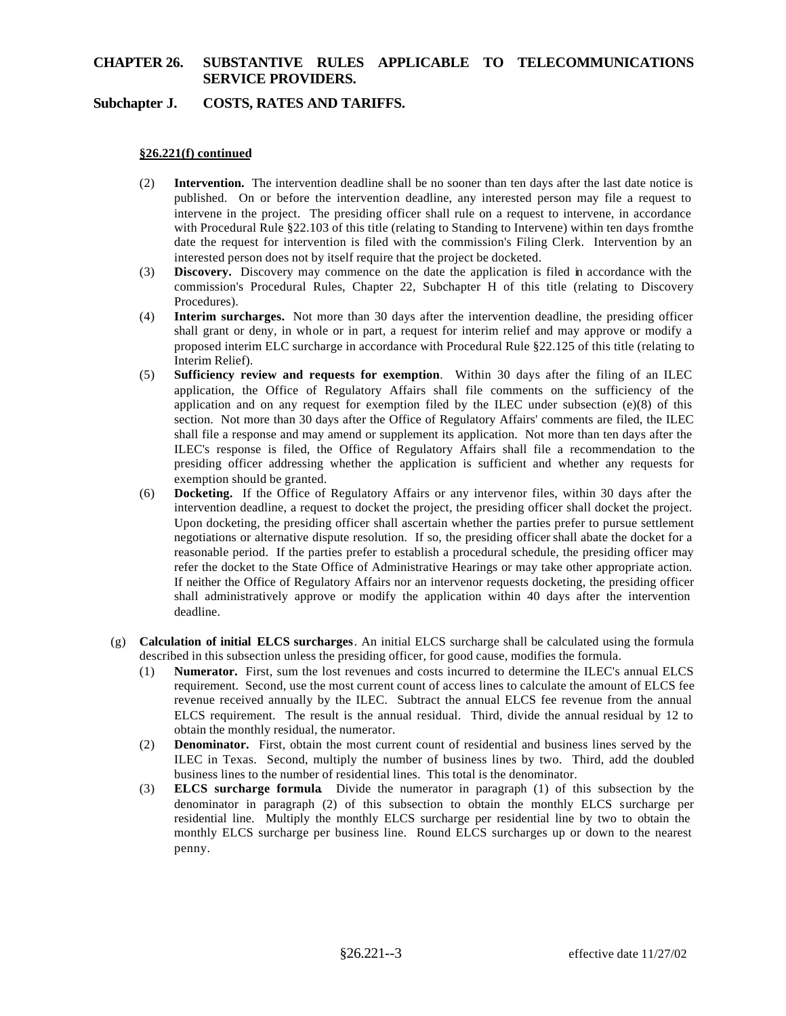# **Subchapter J. COSTS, RATES AND TARIFFS.**

#### **§26.221(f) continued**

- (2) **Intervention.** The intervention deadline shall be no sooner than ten days after the last date notice is published. On or before the intervention deadline, any interested person may file a request to intervene in the project. The presiding officer shall rule on a request to intervene, in accordance with Procedural Rule §22.103 of this title (relating to Standing to Intervene) within ten days from the date the request for intervention is filed with the commission's Filing Clerk. Intervention by an interested person does not by itself require that the project be docketed.
- (3) **Discovery.** Discovery may commence on the date the application is filed in accordance with the commission's Procedural Rules, Chapter 22, Subchapter H of this title (relating to Discovery Procedures).
- (4) **Interim surcharges.** Not more than 30 days after the intervention deadline, the presiding officer shall grant or deny, in whole or in part, a request for interim relief and may approve or modify a proposed interim ELC surcharge in accordance with Procedural Rule §22.125 of this title (relating to Interim Relief).
- (5) **Sufficiency review and requests for exemption**. Within 30 days after the filing of an ILEC application, the Office of Regulatory Affairs shall file comments on the sufficiency of the application and on any request for exemption filed by the ILEC under subsection  $(e)(8)$  of this section. Not more than 30 days after the Office of Regulatory Affairs' comments are filed, the ILEC shall file a response and may amend or supplement its application. Not more than ten days after the ILEC's response is filed, the Office of Regulatory Affairs shall file a recommendation to the presiding officer addressing whether the application is sufficient and whether any requests for exemption should be granted.
- (6) **Docketing.** If the Office of Regulatory Affairs or any intervenor files, within 30 days after the intervention deadline, a request to docket the project, the presiding officer shall docket the project. Upon docketing, the presiding officer shall ascertain whether the parties prefer to pursue settlement negotiations or alternative dispute resolution. If so, the presiding officer shall abate the docket for a reasonable period. If the parties prefer to establish a procedural schedule, the presiding officer may refer the docket to the State Office of Administrative Hearings or may take other appropriate action. If neither the Office of Regulatory Affairs nor an intervenor requests docketing, the presiding officer shall administratively approve or modify the application within 40 days after the intervention deadline.
- (g) **Calculation of initial ELCS surcharges**. An initial ELCS surcharge shall be calculated using the formula described in this subsection unless the presiding officer, for good cause, modifies the formula.
	- (1) **Numerator.** First, sum the lost revenues and costs incurred to determine the ILEC's annual ELCS requirement. Second, use the most current count of access lines to calculate the amount of ELCS fee revenue received annually by the ILEC. Subtract the annual ELCS fee revenue from the annual ELCS requirement. The result is the annual residual. Third, divide the annual residual by 12 to obtain the monthly residual, the numerator.
	- (2) **Denominator.** First, obtain the most current count of residential and business lines served by the ILEC in Texas. Second, multiply the number of business lines by two. Third, add the doubled business lines to the number of residential lines. This total is the denominator.
	- (3) **ELCS surcharge formula**. Divide the numerator in paragraph (1) of this subsection by the denominator in paragraph (2) of this subsection to obtain the monthly ELCS surcharge per residential line. Multiply the monthly ELCS surcharge per residential line by two to obtain the monthly ELCS surcharge per business line. Round ELCS surcharges up or down to the nearest penny.